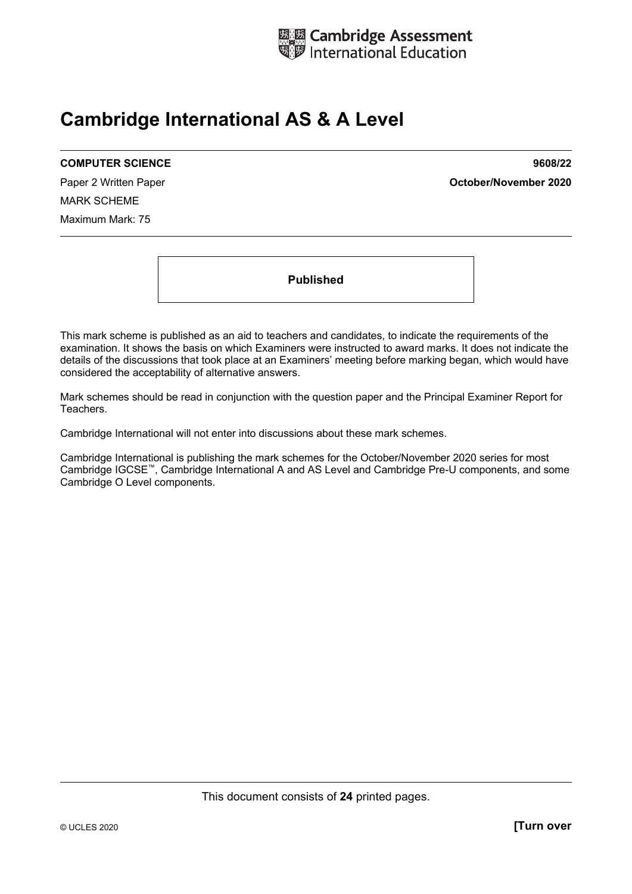

# **Cambridge International AS & A Level**

#### **COMPUTER SCIENCE 9608/22**

MARK SCHEME Maximum Mark: 75

Paper 2 Written Paper **October/November 2020**

**Published** 

This mark scheme is published as an aid to teachers and candidates, to indicate the requirements of the examination. It shows the basis on which Examiners were instructed to award marks. It does not indicate the details of the discussions that took place at an Examiners' meeting before marking began, which would have considered the acceptability of alternative answers.

Mark schemes should be read in conjunction with the question paper and the Principal Examiner Report for Teachers.

Cambridge International will not enter into discussions about these mark schemes.

Cambridge International is publishing the mark schemes for the October/November 2020 series for most Cambridge IGCSE™, Cambridge International A and AS Level and Cambridge Pre-U components, and some Cambridge O Level components.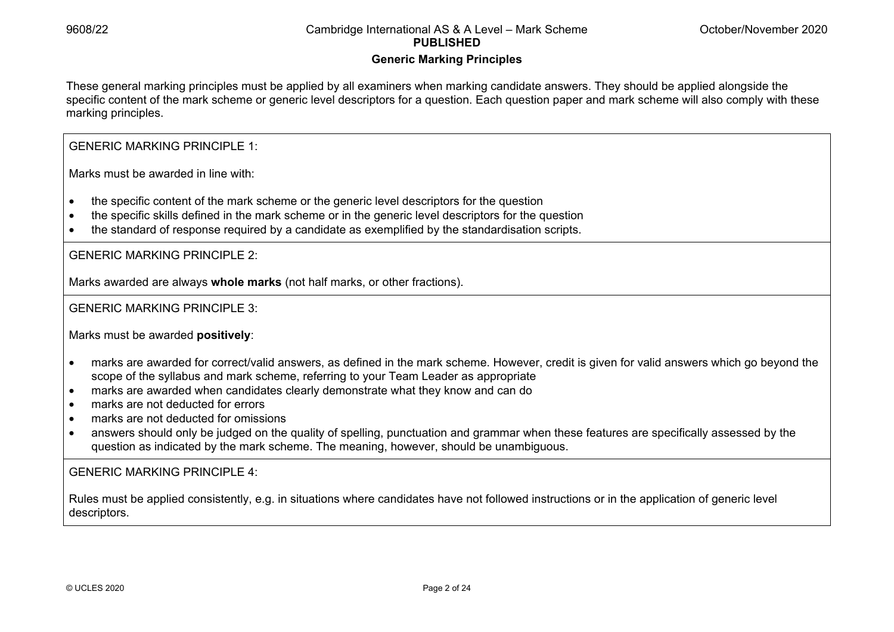#### **Generic Marking Principles**

These general marking principles must be applied by all examiners when marking candidate answers. They should be applied alongside the specific content of the mark scheme or generic level descriptors for a question. Each question paper and mark scheme will also comply with these marking principles.

GENERIC MARKING PRINCIPLE 1:

Marks must be awarded in line with:

- the specific content of the mark scheme or the generic level descriptors for the question
- the specific skills defined in the mark scheme or in the generic level descriptors for the question
- the standard of response required by a candidate as exemplified by the standardisation scripts.

GENERIC MARKING PRINCIPLE 2:

Marks awarded are always **whole marks** (not half marks, or other fractions).

GENERIC MARKING PRINCIPLE 3:

Marks must be awarded **positively**:

- marks are awarded for correct/valid answers, as defined in the mark scheme. However, credit is given for valid answers which go beyond the scope of the syllabus and mark scheme, referring to your Team Leader as appropriate
- marks are awarded when candidates clearly demonstrate what they know and can do
- marks are not deducted for errors
- marks are not deducted for omissions
- answers should only be judged on the quality of spelling, punctuation and grammar when these features are specifically assessed by the question as indicated by the mark scheme. The meaning, however, should be unambiguous.

GENERIC MARKING PRINCIPLE 4:

Rules must be applied consistently, e.g. in situations where candidates have not followed instructions or in the application of generic level descriptors.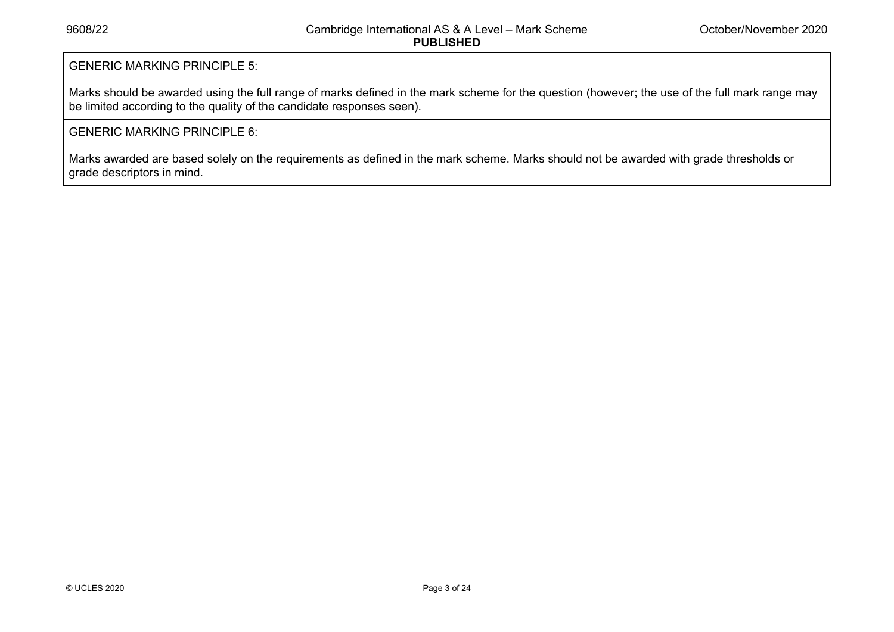#### GENERIC MARKING PRINCIPLE 5:

Marks should be awarded using the full range of marks defined in the mark scheme for the question (however; the use of the full mark range may be limited according to the quality of the candidate responses seen).

#### GENERIC MARKING PRINCIPLE 6:

Marks awarded are based solely on the requirements as defined in the mark scheme. Marks should not be awarded with grade thresholds or grade descriptors in mind.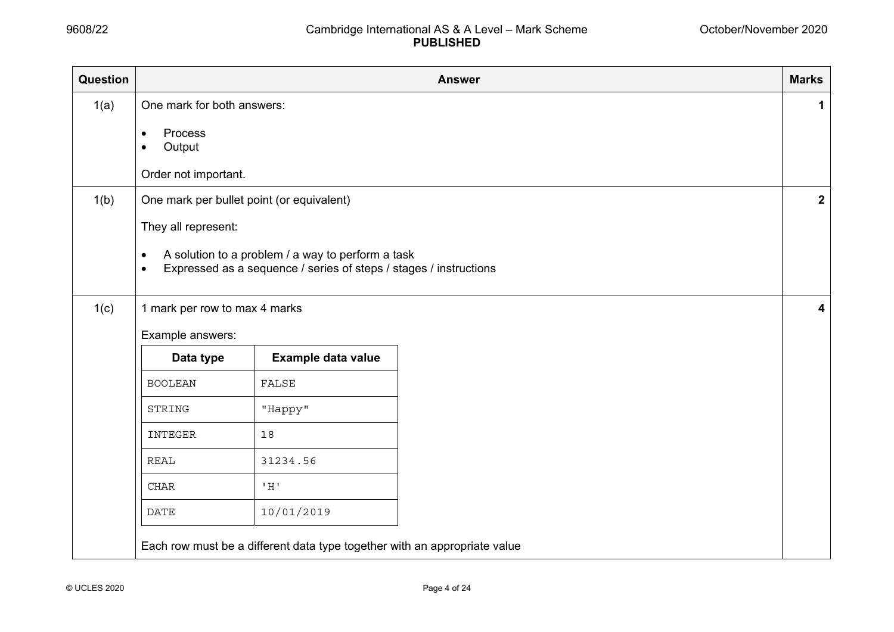| Question |                                                        |                                                                                                                        | <b>Answer</b> | <b>Marks</b> |  |  |  |  |  |  |  |
|----------|--------------------------------------------------------|------------------------------------------------------------------------------------------------------------------------|---------------|--------------|--|--|--|--|--|--|--|
| 1(a)     | One mark for both answers:                             |                                                                                                                        |               | $\mathbf 1$  |  |  |  |  |  |  |  |
|          | Process<br>$\bullet$<br>Output<br>Order not important. |                                                                                                                        |               |              |  |  |  |  |  |  |  |
| 1(b)     | One mark per bullet point (or equivalent)              |                                                                                                                        |               |              |  |  |  |  |  |  |  |
|          | They all represent:<br>$\bullet$<br>$\bullet$          | A solution to a problem / a way to perform a task<br>Expressed as a sequence / series of steps / stages / instructions |               |              |  |  |  |  |  |  |  |
| 1(c)     |                                                        | $\overline{\mathbf{4}}$                                                                                                |               |              |  |  |  |  |  |  |  |
|          | Example answers:                                       |                                                                                                                        |               |              |  |  |  |  |  |  |  |
|          | Data type                                              | Example data value                                                                                                     |               |              |  |  |  |  |  |  |  |
|          | <b>BOOLEAN</b>                                         | FALSE                                                                                                                  |               |              |  |  |  |  |  |  |  |
|          | STRING                                                 | "Happy"                                                                                                                |               |              |  |  |  |  |  |  |  |
|          | INTEGER                                                | 18                                                                                                                     |               |              |  |  |  |  |  |  |  |
|          | <b>REAL</b>                                            | 31234.56                                                                                                               |               |              |  |  |  |  |  |  |  |
|          | <b>CHAR</b>                                            | $^{\rm t}$ H $^{\rm t}$                                                                                                |               |              |  |  |  |  |  |  |  |
|          | <b>DATE</b>                                            | 10/01/2019                                                                                                             |               |              |  |  |  |  |  |  |  |
|          |                                                        | Each row must be a different data type together with an appropriate value                                              |               |              |  |  |  |  |  |  |  |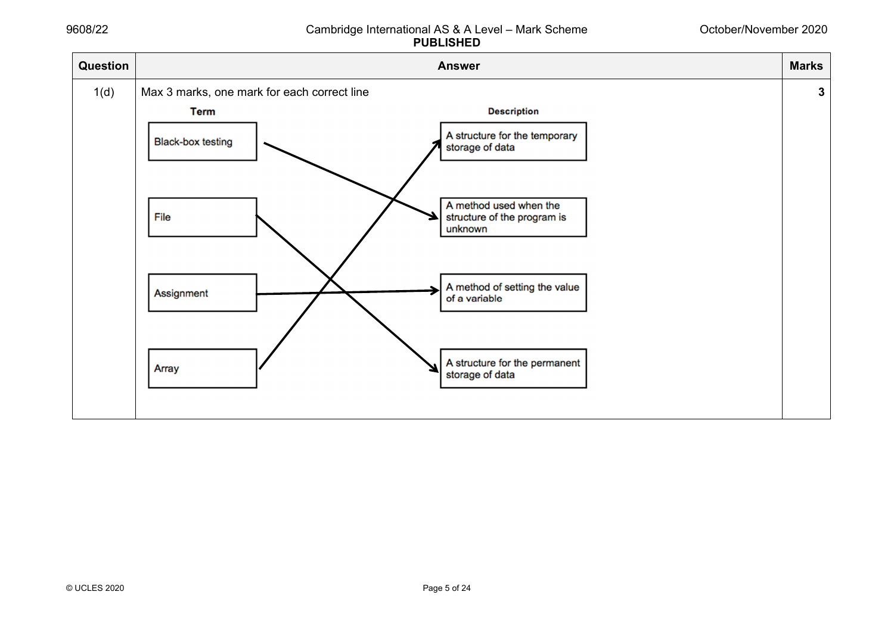#### October/November 2020

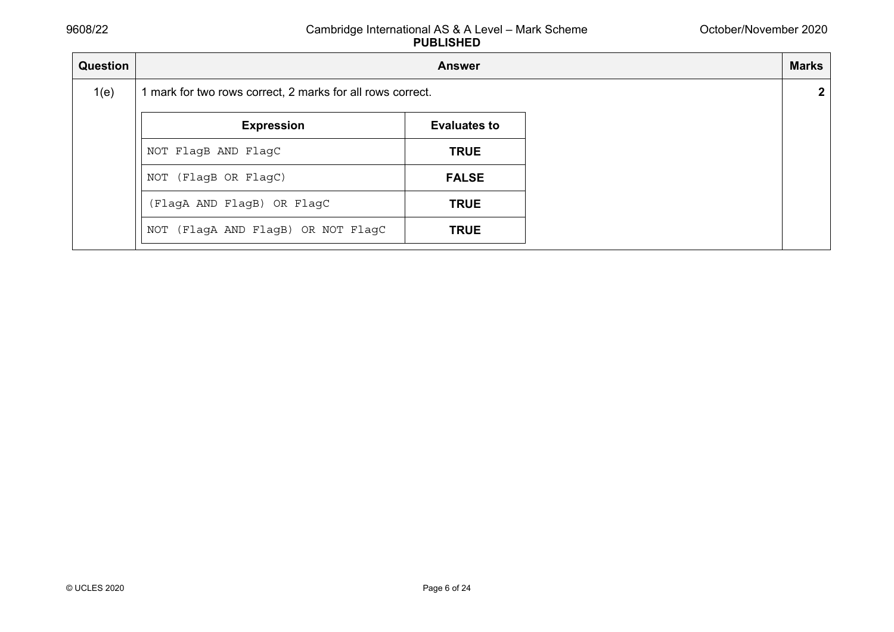| Question | <b>Marks</b><br><b>Answer</b>                              |                     |  |  |  |  |
|----------|------------------------------------------------------------|---------------------|--|--|--|--|
| 1(e)     | 1 mark for two rows correct, 2 marks for all rows correct. |                     |  |  |  |  |
|          | <b>Expression</b>                                          | <b>Evaluates to</b> |  |  |  |  |
|          | NOT FlagB AND FlagC<br><b>TRUE</b>                         |                     |  |  |  |  |
|          | (FlagB OR FlagC)<br>NOT                                    | <b>FALSE</b>        |  |  |  |  |
|          | (FlagA AND FlagB) OR FlagC                                 | <b>TRUE</b>         |  |  |  |  |
|          | (FlagA AND FlagB) OR NOT FlagC<br>NOT                      | <b>TRUE</b>         |  |  |  |  |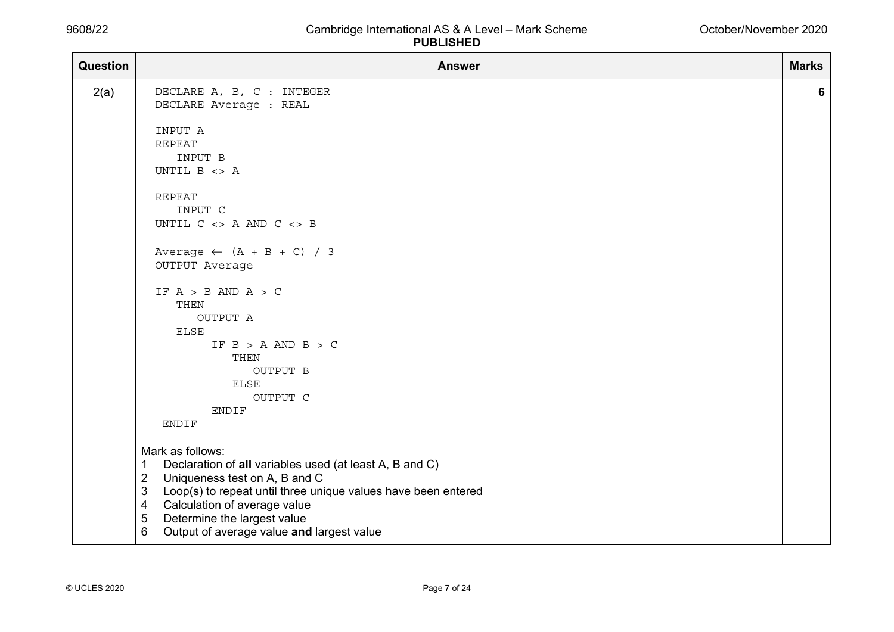| <b>Question</b> | <b>Answer</b>                                                                                                                       | <b>Marks</b> |
|-----------------|-------------------------------------------------------------------------------------------------------------------------------------|--------------|
| 2(a)            | DECLARE A, B, C : INTEGER<br>DECLARE Average : REAL                                                                                 | 6            |
|                 | INPUT A<br><b>REPEAT</b>                                                                                                            |              |
|                 | INPUT B<br>UNTIL B <> A                                                                                                             |              |
|                 | <b>REPEAT</b><br>INPUT C                                                                                                            |              |
|                 | UNTIL $C \iff A$ AND $C \iff B$                                                                                                     |              |
|                 | Average $\leftarrow$ (A + B + C) / 3<br>OUTPUT Average                                                                              |              |
|                 | IF $A > B$ AND $A > C$<br>THEN                                                                                                      |              |
|                 | OUTPUT A<br><b>ELSE</b>                                                                                                             |              |
|                 | IF $B > A$ AND $B > C$<br>THEN                                                                                                      |              |
|                 | OUTPUT B<br><b>ELSE</b>                                                                                                             |              |
|                 | OUTPUT C<br><b>ENDIF</b>                                                                                                            |              |
|                 | ENDIF                                                                                                                               |              |
|                 | Mark as follows:<br>Declaration of all variables used (at least A, B and C)<br>1<br>$\overline{2}$<br>Uniqueness test on A, B and C |              |
|                 | Loop(s) to repeat until three unique values have been entered<br>3<br>Calculation of average value<br>4                             |              |
|                 | Determine the largest value<br>5<br>Output of average value and largest value<br>6                                                  |              |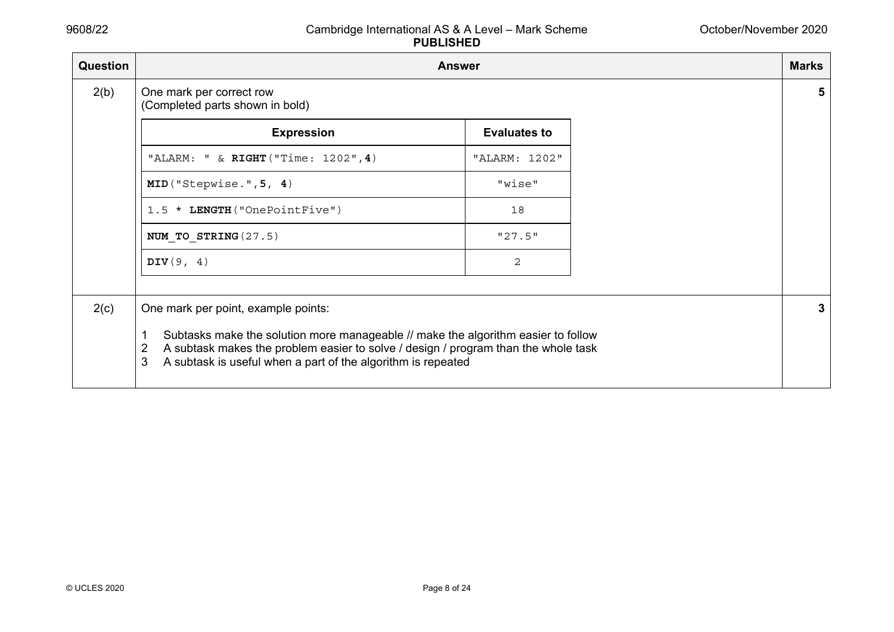| <b>Question</b> |                                                                                                                                                                                                                                                                                               | <b>Answer</b>       |
|-----------------|-----------------------------------------------------------------------------------------------------------------------------------------------------------------------------------------------------------------------------------------------------------------------------------------------|---------------------|
| 2(b)            | One mark per correct row<br>(Completed parts shown in bold)                                                                                                                                                                                                                                   |                     |
|                 | <b>Expression</b>                                                                                                                                                                                                                                                                             | <b>Evaluates to</b> |
|                 | "ALARM: " & RIGHT ("Time: 1202", 4)                                                                                                                                                                                                                                                           | "ALARM: 1202"       |
|                 | MID("Stepwise.", 5, 4)                                                                                                                                                                                                                                                                        | "wise"              |
|                 | 1.5 * LENGTH ("OnePointFive")                                                                                                                                                                                                                                                                 | 18                  |
|                 | NUM TO STRING (27.5)                                                                                                                                                                                                                                                                          | "27.5"              |
|                 | DIV $(9, 4)$                                                                                                                                                                                                                                                                                  | 2                   |
|                 |                                                                                                                                                                                                                                                                                               |                     |
| 2(c)            | One mark per point, example points:<br>Subtasks make the solution more manageable // make the algorithm easier to follow<br>1<br>A subtask makes the problem easier to solve / design / program than the whole task<br>2<br>A subtask is useful when a part of the algorithm is repeated<br>3 |                     |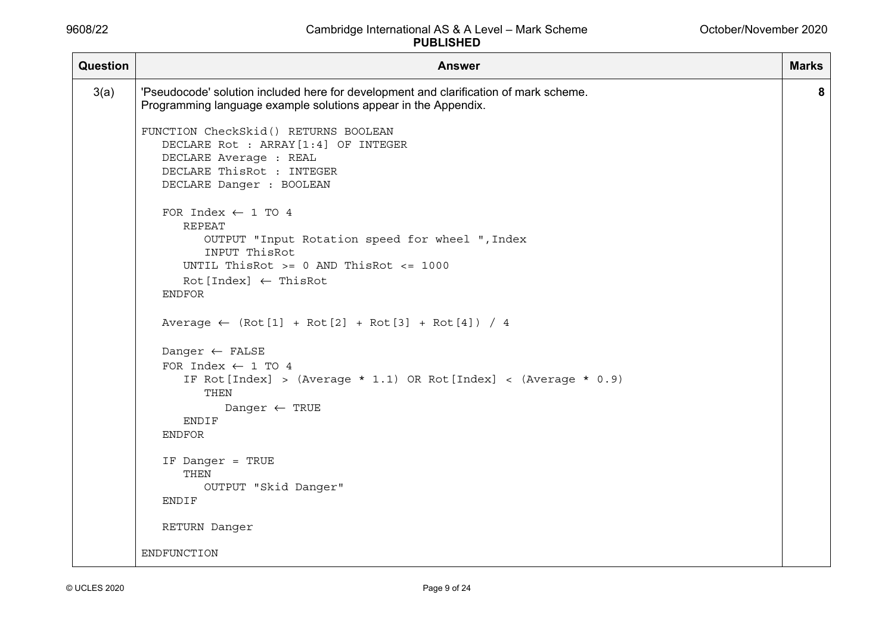| <b>Question</b> | <b>Answer</b>                                                                                                                                                                                                                                    | <b>Marks</b> |
|-----------------|--------------------------------------------------------------------------------------------------------------------------------------------------------------------------------------------------------------------------------------------------|--------------|
| 3(a)            | 'Pseudocode' solution included here for development and clarification of mark scheme.<br>Programming language example solutions appear in the Appendix.                                                                                          | 8            |
|                 | FUNCTION CheckSkid() RETURNS BOOLEAN<br>DECLARE Rot : ARRAY [1:4] OF INTEGER<br>DECLARE Average : REAL<br>DECLARE ThisRot : INTEGER                                                                                                              |              |
|                 | DECLARE Danger : BOOLEAN<br>FOR Index $\leftarrow$ 1 TO 4<br><b>REPEAT</b><br>OUTPUT "Input Rotation speed for wheel ", Index<br>INPUT ThisRot<br>UNTIL ThisRot $>= 0$ AND ThisRot $<= 1000$<br>$Rot[Index] \leftarrow ThisRot$<br><b>ENDFOR</b> |              |
|                 | Average $\leftarrow$ (Rot[1] + Rot[2] + Rot[3] + Rot[4]) / 4                                                                                                                                                                                     |              |
|                 | Danger $\leftarrow$ FALSE<br>FOR Index $\leftarrow$ 1 TO 4<br>IF Rot[Index] > (Average $*$ 1.1) OR Rot[Index] < (Average $*$ 0.9)<br>THEN<br>Danger $\leftarrow$ TRUE<br>ENDIF<br><b>ENDFOR</b>                                                  |              |
|                 | IF Danger = TRUE<br>THEN<br>OUTPUT "Skid Danger"<br>ENDIF                                                                                                                                                                                        |              |
|                 | RETURN Danger                                                                                                                                                                                                                                    |              |
|                 | ENDFUNCTION                                                                                                                                                                                                                                      |              |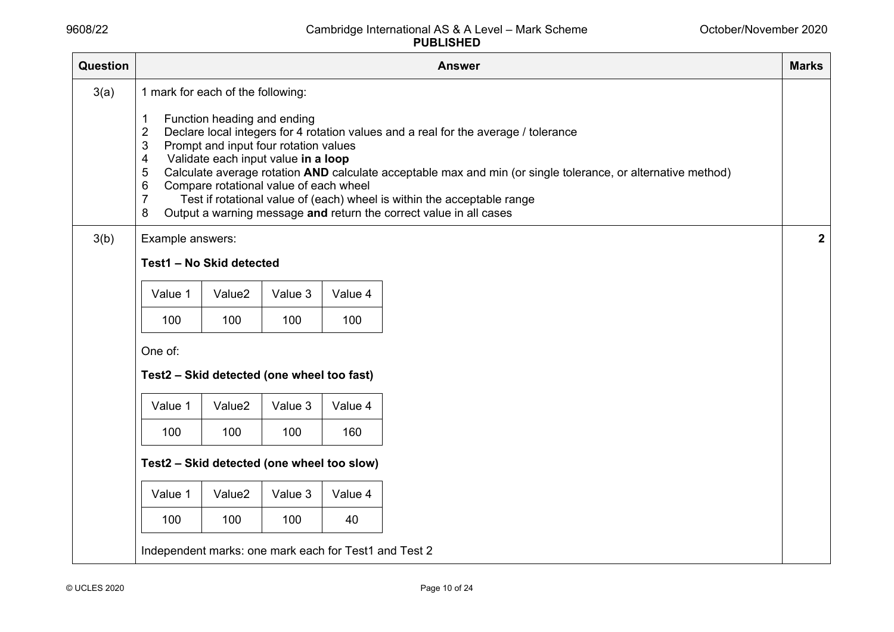| Question | <b>Marks</b><br><b>Answer</b>                                                                                                                                                                                                                                                                                                                                                                                                                                                                                                                                                                                        |                    |         |         |  |  |  |  |  |
|----------|----------------------------------------------------------------------------------------------------------------------------------------------------------------------------------------------------------------------------------------------------------------------------------------------------------------------------------------------------------------------------------------------------------------------------------------------------------------------------------------------------------------------------------------------------------------------------------------------------------------------|--------------------|---------|---------|--|--|--|--|--|
| 3(a)     | 1 mark for each of the following:<br>Function heading and ending<br>1<br>Declare local integers for 4 rotation values and a real for the average / tolerance<br>$\overline{2}$<br>3<br>Prompt and input four rotation values<br>Validate each input value in a loop<br>4<br>Calculate average rotation AND calculate acceptable max and min (or single tolerance, or alternative method)<br>5<br>Compare rotational value of each wheel<br>6<br>$\overline{7}$<br>Test if rotational value of (each) wheel is within the acceptable range<br>Output a warning message and return the correct value in all cases<br>8 |                    |         |         |  |  |  |  |  |
| 3(b)     | Example answers:                                                                                                                                                                                                                                                                                                                                                                                                                                                                                                                                                                                                     |                    |         |         |  |  |  |  |  |
|          | Test1 - No Skid detected                                                                                                                                                                                                                                                                                                                                                                                                                                                                                                                                                                                             |                    |         |         |  |  |  |  |  |
|          | Value 1                                                                                                                                                                                                                                                                                                                                                                                                                                                                                                                                                                                                              | Value <sub>2</sub> | Value 3 | Value 4 |  |  |  |  |  |
|          | 100                                                                                                                                                                                                                                                                                                                                                                                                                                                                                                                                                                                                                  | 100                | 100     | 100     |  |  |  |  |  |
|          | One of:<br>Test2 - Skid detected (one wheel too fast)                                                                                                                                                                                                                                                                                                                                                                                                                                                                                                                                                                |                    |         |         |  |  |  |  |  |
|          | Value 1                                                                                                                                                                                                                                                                                                                                                                                                                                                                                                                                                                                                              | Value <sub>2</sub> | Value 3 | Value 4 |  |  |  |  |  |
|          | 100                                                                                                                                                                                                                                                                                                                                                                                                                                                                                                                                                                                                                  | 100                | 100     | 160     |  |  |  |  |  |
|          | Test2 - Skid detected (one wheel too slow)                                                                                                                                                                                                                                                                                                                                                                                                                                                                                                                                                                           |                    |         |         |  |  |  |  |  |
|          | Value 1                                                                                                                                                                                                                                                                                                                                                                                                                                                                                                                                                                                                              | Value <sub>2</sub> | Value 3 | Value 4 |  |  |  |  |  |
|          | 100                                                                                                                                                                                                                                                                                                                                                                                                                                                                                                                                                                                                                  | 100                | 100     | 40      |  |  |  |  |  |
|          | Independent marks: one mark each for Test1 and Test 2                                                                                                                                                                                                                                                                                                                                                                                                                                                                                                                                                                |                    |         |         |  |  |  |  |  |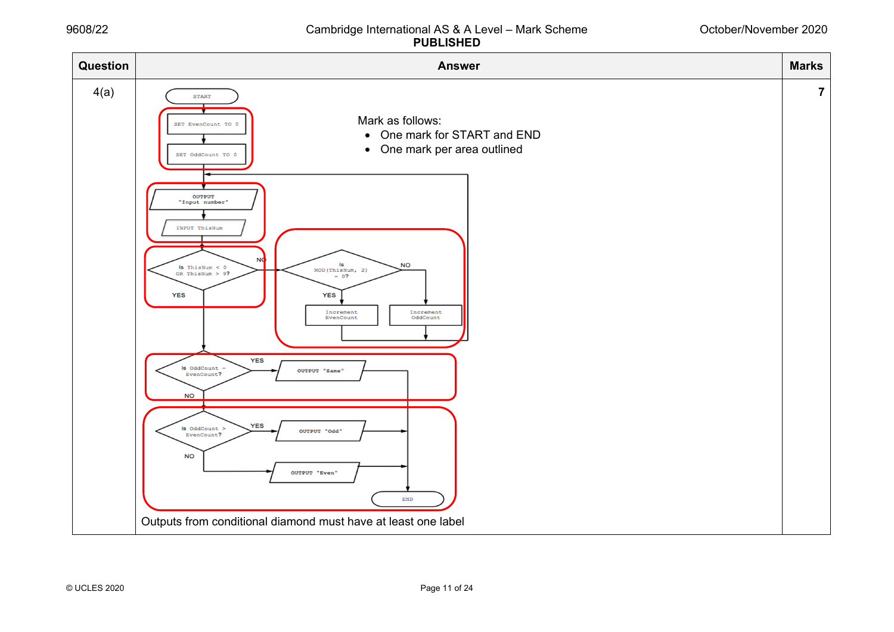#### October/November 2020

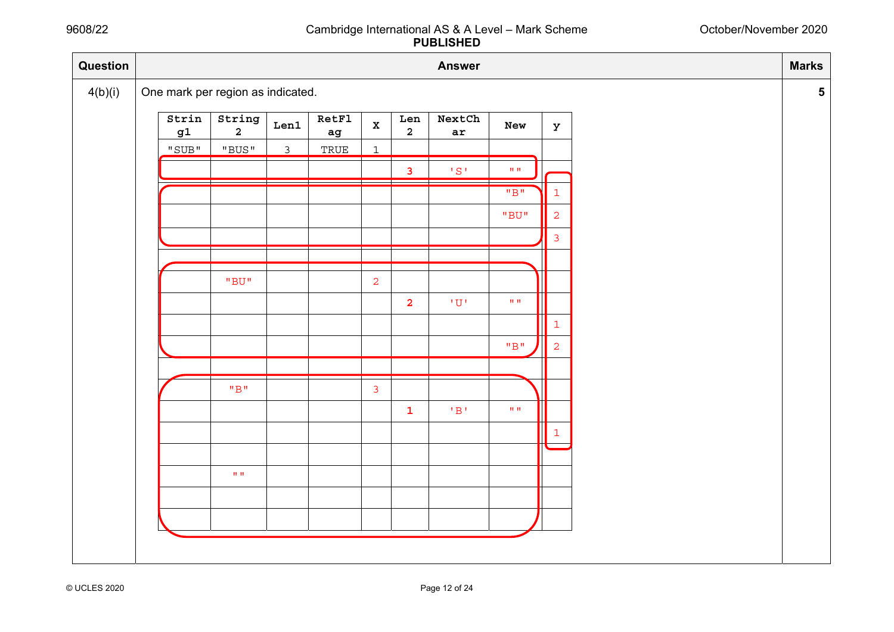#### October/November 2020

| Question |                                                 |                                   |              |                                        |                |                         | <b>Answer</b>            |                                  |                | <b>Marks</b>    |
|----------|-------------------------------------------------|-----------------------------------|--------------|----------------------------------------|----------------|-------------------------|--------------------------|----------------------------------|----------------|-----------------|
| 4(b)(i)  |                                                 | One mark per region as indicated. |              |                                        |                |                         |                          |                                  |                | $5\overline{)}$ |
|          | Strin<br>$\mathtt{g1}$                          | String<br>$\overline{2}$          | Len1         | <b>RetFl</b><br>$\mathbf{a}\mathbf{g}$ | $\mathbf x$    | Len<br>$\overline{a}$   | NextCh<br>ar             | New                              | $\mathbf{y}$   |                 |
|          | $\rm ^{\prime\prime}$ SUB $\rm ^{\prime\prime}$ | "BUS"                             | $\mathsf{3}$ | TRUE                                   | $\mathbf{1}$   |                         |                          |                                  |                |                 |
|          |                                                 |                                   |              |                                        |                | $\mathbf{3}$            | $^1S$ $^1$               | $\mathbf{H}^{\dagger}\mathbf{H}$ |                |                 |
|          |                                                 |                                   |              |                                        |                |                         |                          | $\overline{''B''}$               | $\mathbf{1}$   |                 |
|          |                                                 |                                   |              |                                        |                |                         |                          | $"BU"$                           | $\overline{2}$ |                 |
|          |                                                 |                                   |              |                                        |                |                         |                          |                                  | $\mathsf{3}$   |                 |
|          |                                                 |                                   |              |                                        |                |                         |                          |                                  |                |                 |
|          |                                                 | $^{\rm H}$ BU $^{\rm H}$          |              |                                        | $\overline{a}$ |                         |                          |                                  |                |                 |
|          |                                                 |                                   |              |                                        |                | $\overline{\mathbf{2}}$ | $\iota$ $\Omega$ $\iota$ | $\mathbf{H}^{\dagger}\mathbf{H}$ |                |                 |
|          |                                                 |                                   |              |                                        |                |                         |                          |                                  | $\mathbf{1}$   |                 |
|          |                                                 |                                   |              |                                        |                |                         |                          | $^{\rm H} \text{B}^{\rm H}$      | 2              |                 |
|          |                                                 |                                   |              |                                        |                |                         |                          |                                  |                |                 |
|          |                                                 | $^{\rm H} \text{B}^{\rm H}$       |              |                                        | $\mathbf{3}$   |                         |                          |                                  |                |                 |
|          |                                                 |                                   |              |                                        |                | ${\bf 1}$               | $^{\rm t}$ B $^{\rm t}$  | $\mathbf{H}^{\dagger}\mathbf{H}$ |                |                 |
|          |                                                 |                                   |              |                                        |                |                         |                          |                                  | $\mathbf{1}$   |                 |
|          |                                                 |                                   |              |                                        |                |                         |                          |                                  |                |                 |
|          |                                                 | $\mathbf{H}^{\dagger}\mathbf{H}$  |              |                                        |                |                         |                          |                                  |                |                 |
|          |                                                 |                                   |              |                                        |                |                         |                          |                                  |                |                 |
|          |                                                 |                                   |              |                                        |                |                         |                          |                                  |                |                 |
|          |                                                 |                                   |              |                                        |                |                         |                          |                                  |                |                 |
|          |                                                 |                                   |              |                                        |                |                         |                          |                                  |                |                 |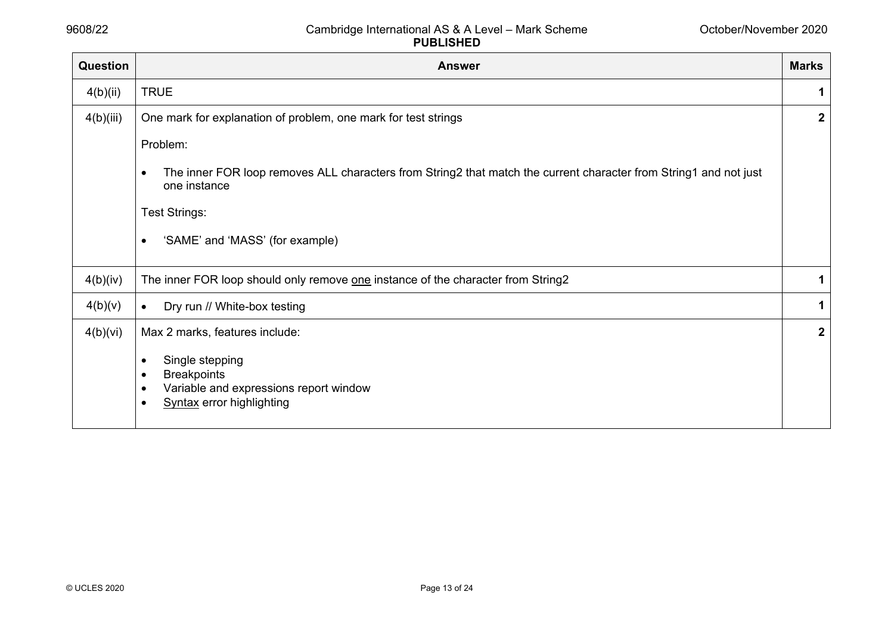| Question  | <b>Answer</b>                                                                                                                                  | <b>Marks</b> |  |  |  |  |  |
|-----------|------------------------------------------------------------------------------------------------------------------------------------------------|--------------|--|--|--|--|--|
| 4(b)(ii)  | <b>TRUE</b>                                                                                                                                    |              |  |  |  |  |  |
| 4(b)(iii) | One mark for explanation of problem, one mark for test strings                                                                                 | $\mathbf{2}$ |  |  |  |  |  |
|           | Problem:                                                                                                                                       |              |  |  |  |  |  |
|           | The inner FOR loop removes ALL characters from String2 that match the current character from String1 and not just<br>$\bullet$<br>one instance |              |  |  |  |  |  |
|           | Test Strings:                                                                                                                                  |              |  |  |  |  |  |
|           | 'SAME' and 'MASS' (for example)<br>$\bullet$                                                                                                   |              |  |  |  |  |  |
| 4(b)(iv)  | The inner FOR loop should only remove one instance of the character from String2                                                               | 1            |  |  |  |  |  |
| 4(b)(v)   | Dry run // White-box testing                                                                                                                   | 1            |  |  |  |  |  |
| 4(b)(vi)  | Max 2 marks, features include:                                                                                                                 | $\mathbf{2}$ |  |  |  |  |  |
|           | Single stepping<br>٠<br><b>Breakpoints</b><br>٠<br>Variable and expressions report window<br>٠<br><b>Syntax error highlighting</b>             |              |  |  |  |  |  |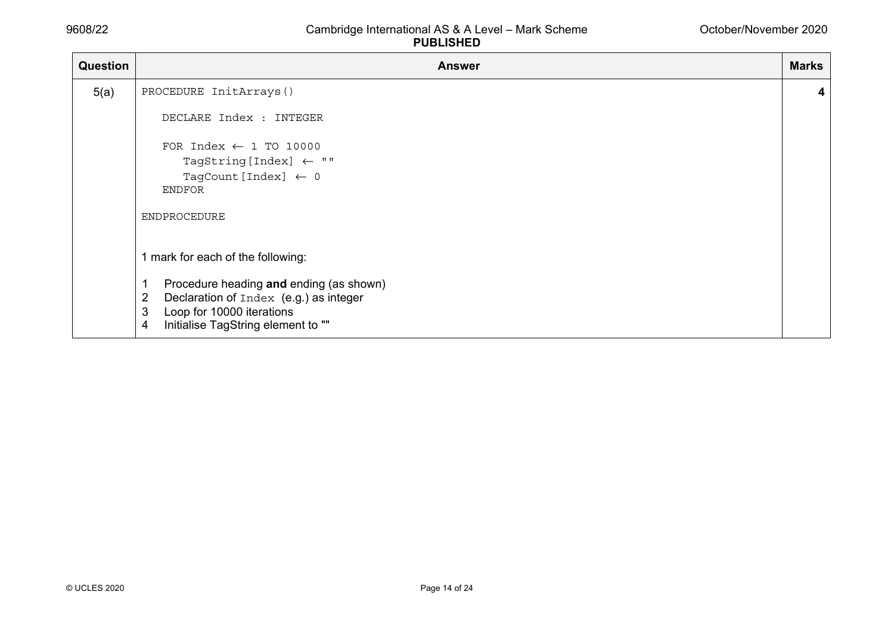| <b>Question</b> | <b>Answer</b>                                                                                                                                                                                                              | <b>Marks</b> |  |  |  |  |
|-----------------|----------------------------------------------------------------------------------------------------------------------------------------------------------------------------------------------------------------------------|--------------|--|--|--|--|
| 5(a)            | PROCEDURE InitArrays()                                                                                                                                                                                                     |              |  |  |  |  |
|                 | DECLARE Index : INTEGER                                                                                                                                                                                                    |              |  |  |  |  |
|                 | FOR Index $\leftarrow$ 1 TO 10000<br>TagString [Index] $\leftarrow$ ""<br>TagCount [Index] $\leftarrow$ 0<br><b>ENDFOR</b><br><b>ENDPROCEDURE</b>                                                                          |              |  |  |  |  |
|                 | 1 mark for each of the following:<br>Procedure heading and ending (as shown)<br>1<br>Declaration of Index (e.g.) as integer<br>$\overline{2}$<br>Loop for 10000 iterations<br>3<br>Initialise TagString element to ""<br>4 |              |  |  |  |  |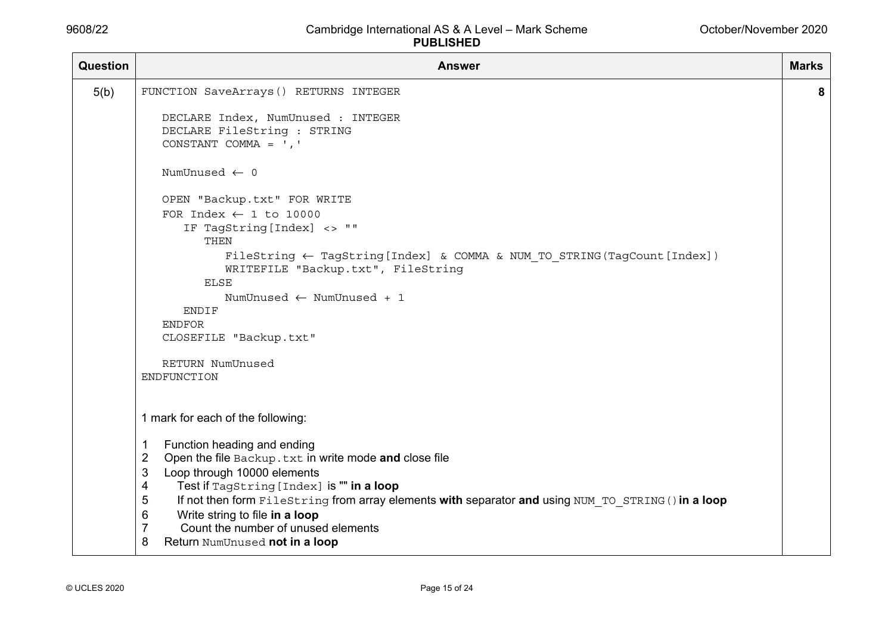| Question | <b>Answer</b>                                                                                                                                                                                                                                                                                                                                                                                                                                                                              | <b>Marks</b> |
|----------|--------------------------------------------------------------------------------------------------------------------------------------------------------------------------------------------------------------------------------------------------------------------------------------------------------------------------------------------------------------------------------------------------------------------------------------------------------------------------------------------|--------------|
| 5(b)     | FUNCTION SaveArrays() RETURNS INTEGER                                                                                                                                                                                                                                                                                                                                                                                                                                                      | 8            |
|          | DECLARE Index, NumUnused : INTEGER<br>DECLARE FileString : STRING<br>CONSTANT COMMA = $', '$                                                                                                                                                                                                                                                                                                                                                                                               |              |
|          | NumUnused $\leftarrow$ 0                                                                                                                                                                                                                                                                                                                                                                                                                                                                   |              |
|          | OPEN "Backup.txt" FOR WRITE<br>FOR Index $\leftarrow$ 1 to 10000<br>IF TagString [Index] <> ""<br><b>THEN</b><br>FileString $\leftarrow$ TagString [Index] & COMMA & NUM TO STRING (TagCount [Index])<br>WRITEFILE "Backup.txt", FileString<br>ELSE<br>NumUnused $\leftarrow$ NumUnused + 1<br>ENDIF<br><b>ENDFOR</b><br>CLOSEFILE "Backup.txt"<br>RETURN NumUnused<br>ENDFUNCTION                                                                                                         |              |
|          | 1 mark for each of the following:<br>Function heading and ending<br>1<br>$\overline{2}$<br>Open the file Backup. txt in write mode and close file<br>Loop through 10000 elements<br>3<br>Test if TagString [Index] is "" in a loop<br>4<br>If not then form FileString from array elements with separator and using NUM TO STRING () in a loop<br>5<br>Write string to file in a loop<br>6<br>$\overline{7}$<br>Count the number of unused elements<br>8<br>Return NumUnused not in a loop |              |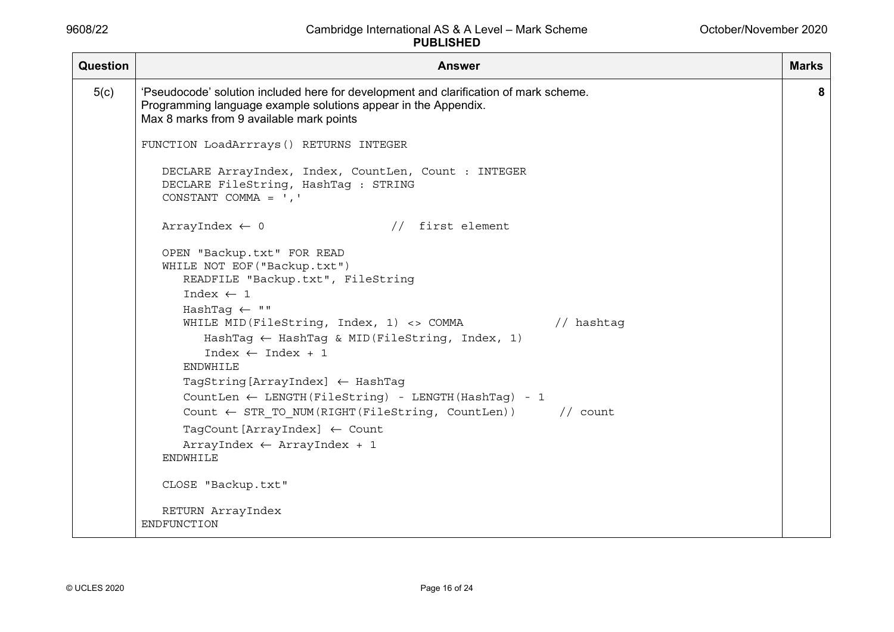| Question             | <b>Answer</b><br><b>Marks</b>                                                                                                                                                                       |   |  |  |
|----------------------|-----------------------------------------------------------------------------------------------------------------------------------------------------------------------------------------------------|---|--|--|
| 5(c)                 | 'Pseudocode' solution included here for development and clarification of mark scheme.<br>Programming language example solutions appear in the Appendix.<br>Max 8 marks from 9 available mark points | 8 |  |  |
|                      | FUNCTION LoadArrrays() RETURNS INTEGER                                                                                                                                                              |   |  |  |
|                      | DECLARE ArrayIndex, Index, CountLen, Count : INTEGER<br>DECLARE FileString, HashTag : STRING<br>CONSTANT COMMA = $', '$                                                                             |   |  |  |
|                      | // first element<br>ArrayIndex $\leftarrow$ 0                                                                                                                                                       |   |  |  |
|                      | OPEN "Backup.txt" FOR READ<br>WHILE NOT EOF ("Backup.txt")<br>READFILE "Backup.txt", FileString                                                                                                     |   |  |  |
| Index $\leftarrow$ 1 |                                                                                                                                                                                                     |   |  |  |
|                      | HashTaq $\leftarrow$ ""                                                                                                                                                                             |   |  |  |
|                      | WHILE MID (FileString, Index, 1) <> COMMA // hashtag                                                                                                                                                |   |  |  |
|                      | HashTag $\leftarrow$ HashTag & MID(FileString, Index, 1)                                                                                                                                            |   |  |  |
|                      | Index $\leftarrow$ Index + 1<br><b>ENDWHILE</b>                                                                                                                                                     |   |  |  |
|                      | TagString [ArrayIndex] $\leftarrow$ HashTag                                                                                                                                                         |   |  |  |
|                      | CountLen $\leftarrow$ LENGTH (FileString) - LENGTH (HashTaq) - 1                                                                                                                                    |   |  |  |
|                      | Count $\leftarrow$ STR TO NUM(RIGHT(FileString, CountLen)) // count                                                                                                                                 |   |  |  |
|                      | TagCount [ArrayIndex] $\leftarrow$ Count                                                                                                                                                            |   |  |  |
|                      | $ArrayIndex \leftarrow ArrayIndex + 1$                                                                                                                                                              |   |  |  |
|                      | <b>ENDWHILE</b>                                                                                                                                                                                     |   |  |  |
|                      | CLOSE "Backup.txt"                                                                                                                                                                                  |   |  |  |
|                      | RETURN ArrayIndex                                                                                                                                                                                   |   |  |  |
|                      | ENDFUNCTION                                                                                                                                                                                         |   |  |  |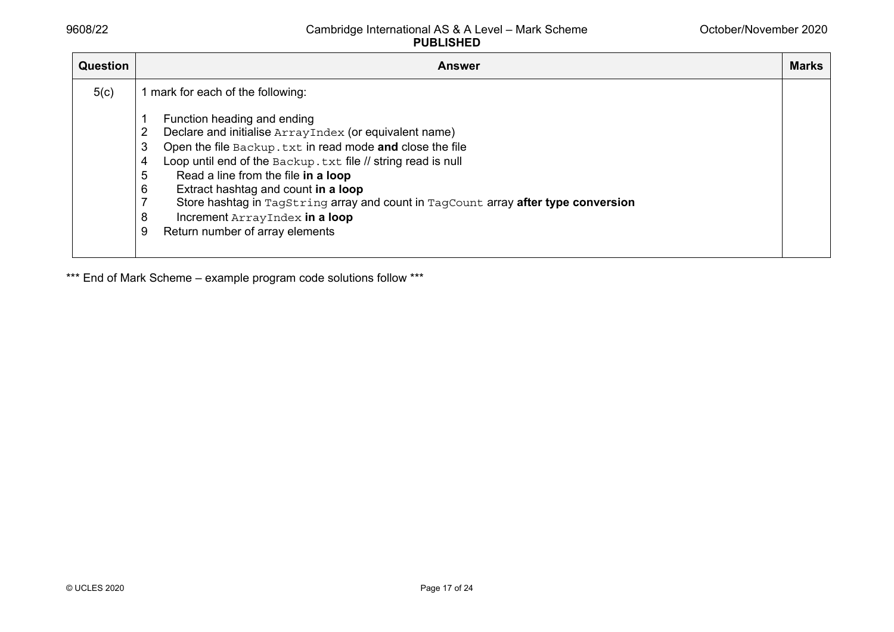| <b>Question</b> | <b>Answer</b>                                                                                                                                                                                                                                                                                                                                                                                                                                                                                                                             | <b>Marks</b> |
|-----------------|-------------------------------------------------------------------------------------------------------------------------------------------------------------------------------------------------------------------------------------------------------------------------------------------------------------------------------------------------------------------------------------------------------------------------------------------------------------------------------------------------------------------------------------------|--------------|
| 5(c)            | 1 mark for each of the following:<br>Function heading and ending<br>2<br>Declare and initialise ArrayIndex (or equivalent name)<br>Open the file Backup. txt in read mode and close the file<br>3<br>Loop until end of the Backup. txt file // string read is null<br>4<br>5<br>Read a line from the file in a loop<br>6<br>Extract hashtag and count in a loop<br>Store hashtag in TagString array and count in TagCount array after type conversion<br>7<br>8<br>Increment ArrayIndex in a loop<br>Return number of array elements<br>9 |              |

\*\*\* End of Mark Scheme - example program code solutions follow \*\*\*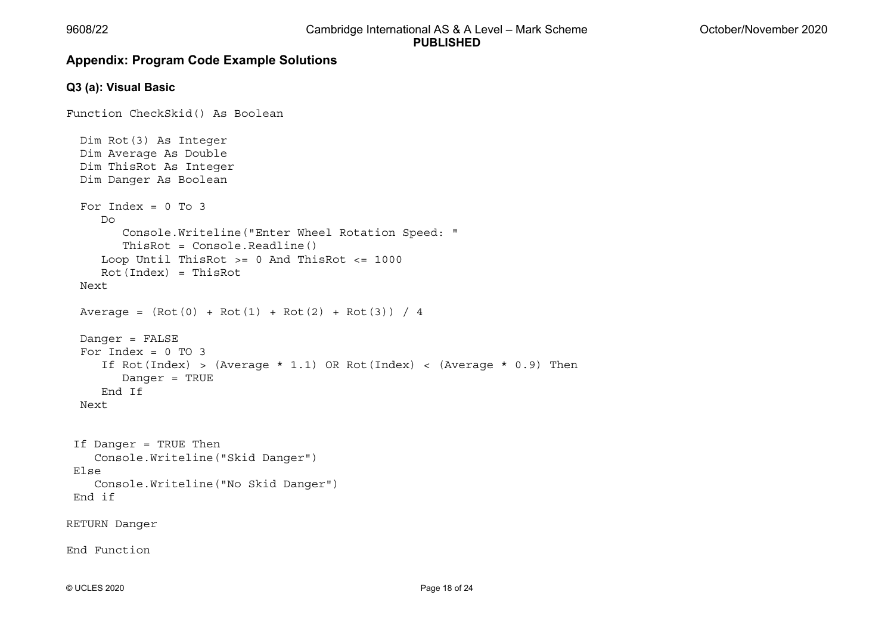# **Appendix: Program Code Example Solutions**

#### **Q3 (a): Visual Basic**

```
Function CheckSkid() As Boolean 
   Dim Rot(3) As Integer 
   Dim Average As Double 
   Dim ThisRot As Integer 
   Dim Danger As Boolean 
  For Index = 0 To 3
     D<sub>O</sub> Console.Writeline("Enter Wheel Rotation Speed: " 
         ThisRot = Console.Readline() 
      Loop Until ThisRot >= 0 And ThisRot <= 1000 
      Rot(Index) = ThisRot 
   Next Average = (Rot(0) + Rot(1) + Rot(2) + Rot(3)) / 4 Danger = FALSE 
  For Index = 0 TO 3
     If Rot(Index) > (Average * 1.1) OR Rot(Index) < (Average * 0.9) Then
         Danger = TRUE 
      End If  Next  If Danger = TRUE Then 
     Console.Writeline("Skid Danger") 
 Else  Console.Writeline("No Skid Danger") 
 End if RETURN Danger 
End Function
```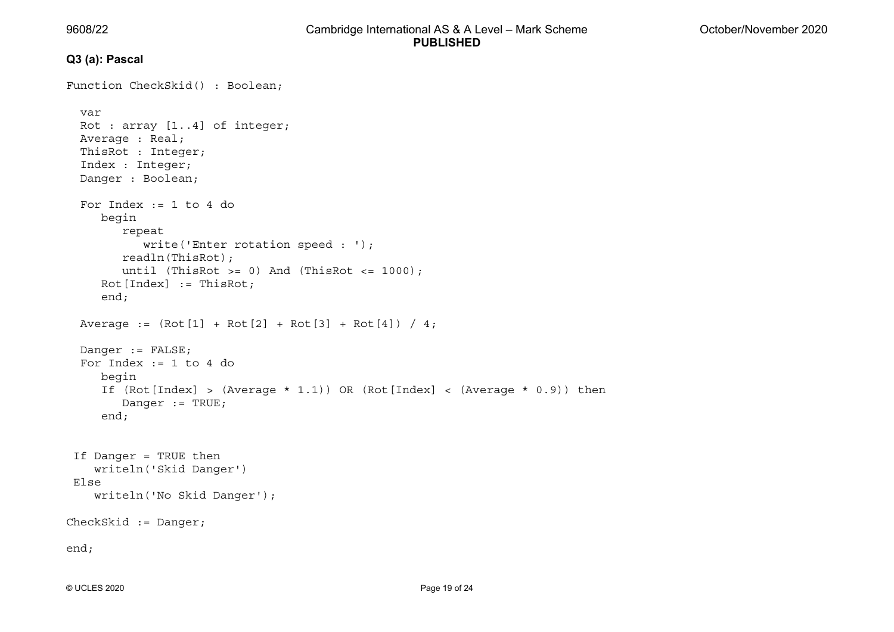# **Q3 (a): Pascal**

```
Function CheckSkid() : Boolean;
   var  Rot : array [1..4] of integer; 
   Average : Real; 
   ThisRot : Integer; 
   Index : Integer; 
   Danger : Boolean; 
  For Index := 1 to 4 do
      begin 
         repeat 
            write('Enter rotation speed : '); 
         readln(ThisRot); 
        until (ThisRot >= 0) And (ThisRot <= 1000);
     Rot[Index] := ThisRot; end; 
  Average := (Rot[1] + Rot[2] + Rot[3] + Rot[4]) / 4; Danger := FALSE; 
 For Index := 1 to 4 do 
      begin 
     If (Rot[Index] > (Average * 1.1)) OR (Rot[Index] < (Average * 0.9)) then Danger := TRUE; 
      end; 
 If Danger = TRUE then 
     writeln('Skid Danger') 
 Else 
     writeln('No Skid Danger'); 
CheckSkid := Danger; 
end;
```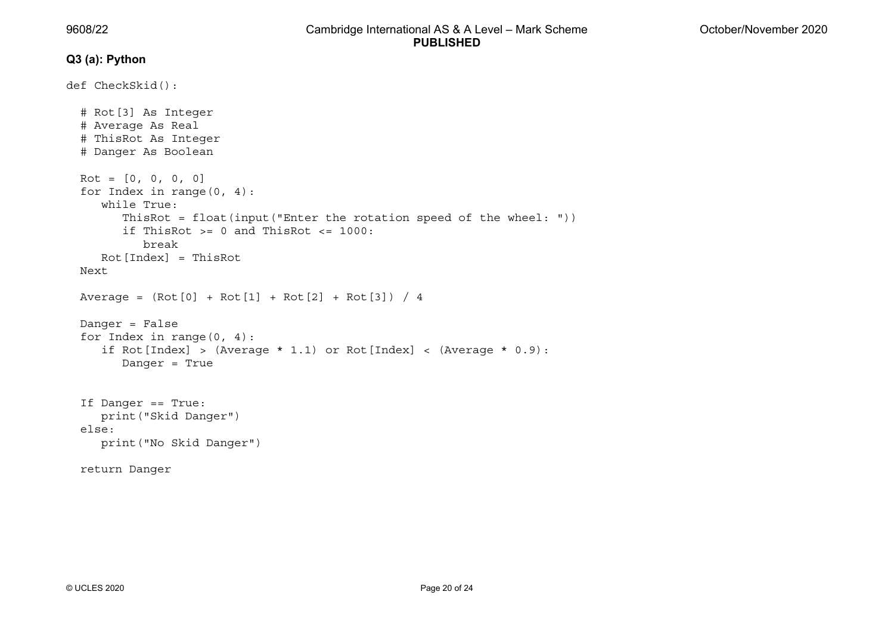#### **Q3 (a): Python**

```
def CheckSkid(): 
   # Rot[3] As Integer 
   # Average As Real 
   # ThisRot As Integer 
   # Danger As Boolean 
  Rot = [0, 0, 0, 0] for Index in range(0, 4): 
      while True:  ThisRot = float(input("Enter the rotation speed of the wheel: ")) 
        if ThisRot >= 0 and ThisRot <= 1000:
            break  Rot[Index] = ThisRot 
   Next Average = (Rot[0] + Rot[1] + Rot[2] + Rot[3]) / 4 Danger = False 
   for Index in range(0, 4): 
     if Rot[Index] > (Average * 1.1) or Rot[Index] < (Average * 0.9):
         Danger = True 
   If Danger == True: 
      print("Skid Danger") 
   else:  print("No Skid Danger") 
   return Danger
```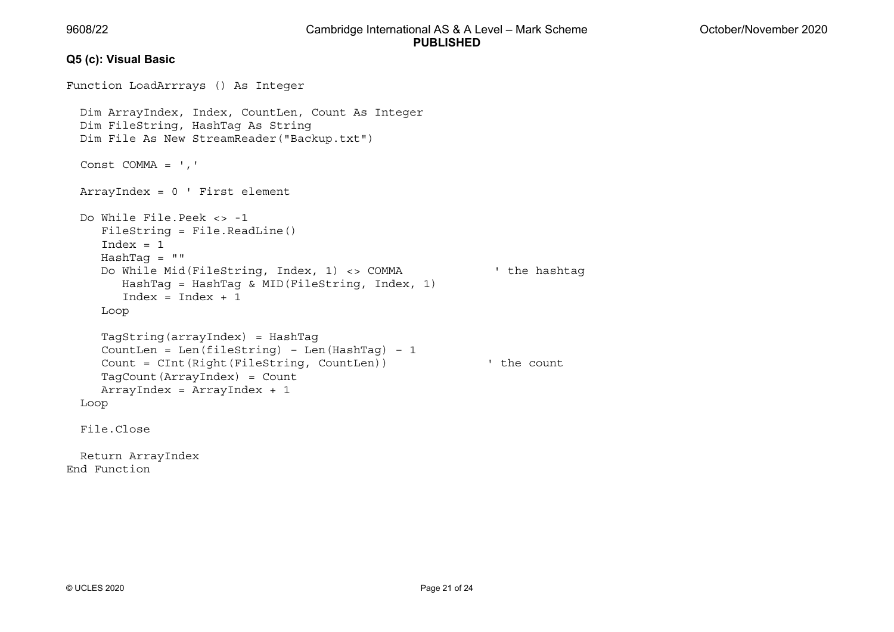#### **Q5 (c): Visual Basic**

```
Function LoadArrrays () As Integer 
   Dim ArrayIndex, Index, CountLen, Count As Integer 
   Dim FileString, HashTag As String 
   Dim File As New StreamReader("Backup.txt") 
   Const COMMA = ',' 
  ArrayIndex = 0 ' First element 
 Do While File.Peek <> -1 
      FileString = File.ReadLine() 
     Index = 1 HashTag = "" 
      Do While Mid(FileString, Index, 1) <> COMMA ' the hashtag 
         HashTag = HashTag & MID(FileString, Index, 1) 
        Index = Index + 1 Loop 
      TagString(arrayIndex) = HashTag 
      CountLen = Len(fileString) – Len(HashTag) – 1 
      Count = CInt(Right(FileString, CountLen)) ' the count 
      TagCount(ArrayIndex) = Count 
     ArrayIndex = ArrayIndex + 1 
  Loop 
   File.Close  Return ArrayIndex 
End Function
```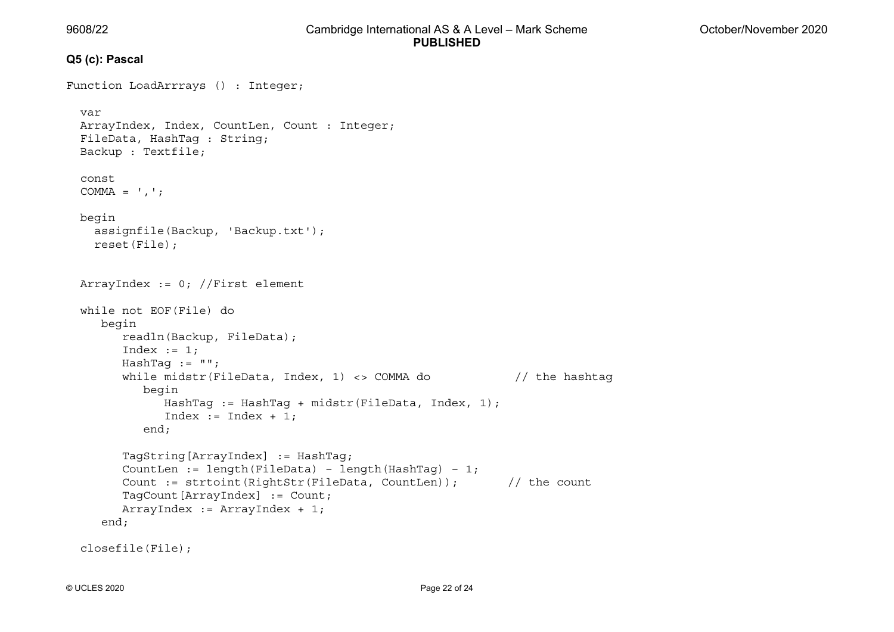#### **Q5 (c): Pascal**

```
Function LoadArrrays () : Integer;
   var  ArrayIndex, Index, CountLen, Count : Integer; 
   FileData, HashTag : String; 
   Backup : Textfile; 
   const COMMA = ',';
   begin 
     assignfile(Backup, 'Backup.txt'); 
     reset(File); 
   ArrayIndex := 0; //First element 
   while not EOF(File) do 
      begin 
         readln(Backup, FileData); 
        Index := 1;
        HashTag := " ";
        while midstr(FileData, Index, 1) <> COMMA do // the hashtag
            begin 
               HashTag := HashTag + midstr(FileData, Index, 1); 
              Index := Index + 1;
            end; 
         TagString[ArrayIndex] := HashTag; 
        CountLen := length(FileData) - length(HashTag) - 1;
        Count := strtoint(RightStr(FileData, CountLen)); // the count
         TagCount[ArrayIndex] := Count; 
         ArrayIndex := ArrayIndex + 1; 
      end; 
   closefile(File);
```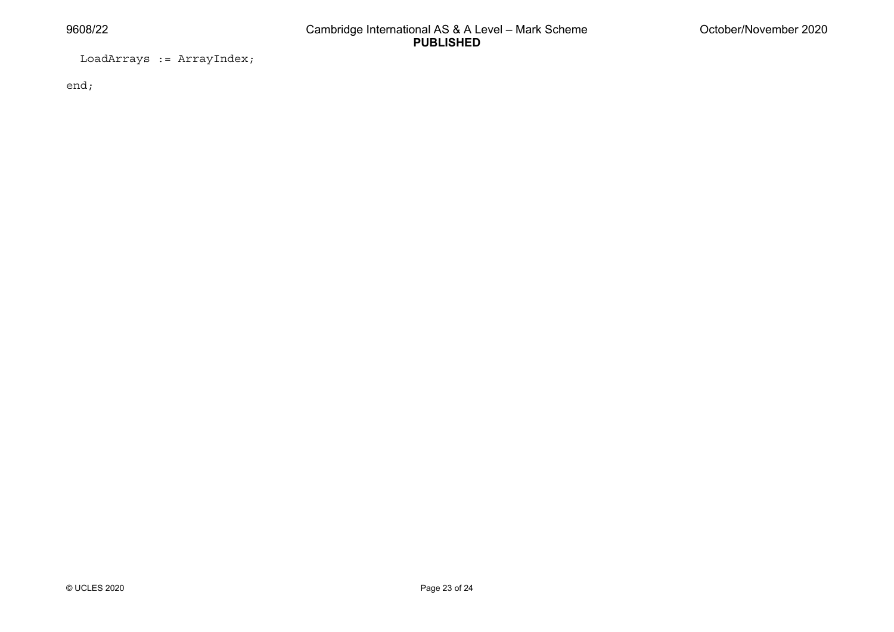LoadArrays := ArrayIndex;

end;